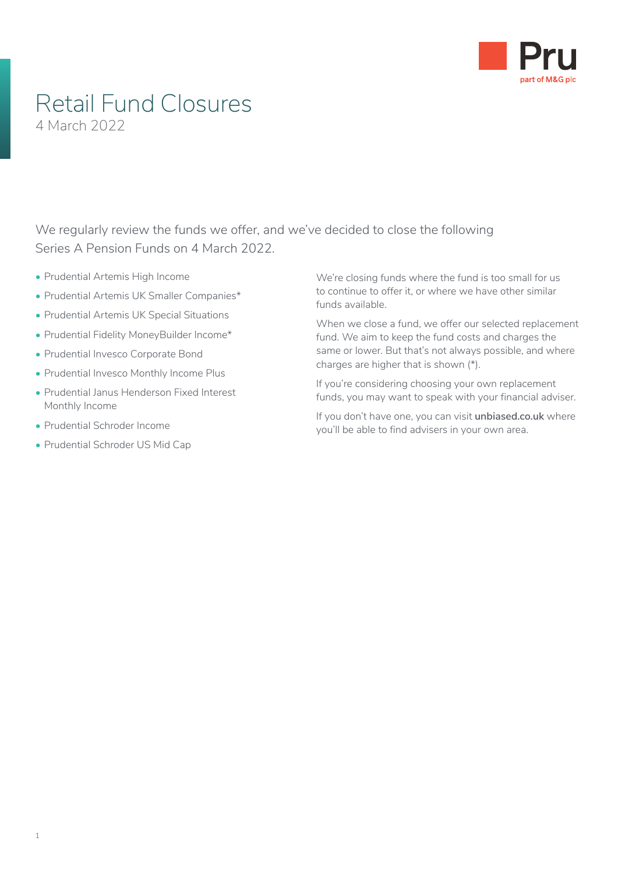

## Retail Fund Closures 4 March 2022

We regularly review the funds we offer, and we've decided to close the following Series A Pension Funds on 4 March 2022.

- Prudential Artemis High Income
- Prudential Artemis UK Smaller Companies\*
- Prudential Artemis UK Special Situations
- Prudential Fidelity MoneyBuilder Income\*
- Prudential Invesco Corporate Bond
- Prudential Invesco Monthly Income Plus
- Prudential Janus Henderson Fixed Interest Monthly Income
- Prudential Schroder Income
- Prudential Schroder US Mid Cap

We're closing funds where the fund is too small for us to continue to offer it, or where we have other similar funds available.

When we close a fund, we offer our selected replacement fund. We aim to keep the fund costs and charges the same or lower. But that's not always possible, and where charges are higher that is shown (\*).

If you're considering choosing your own replacement funds, you may want to speak with your financial adviser.

If you don't have one, you can visit **[unbiased.co.uk](http://www.unbiased.co.uk)** where you'll be able to find advisers in your own area.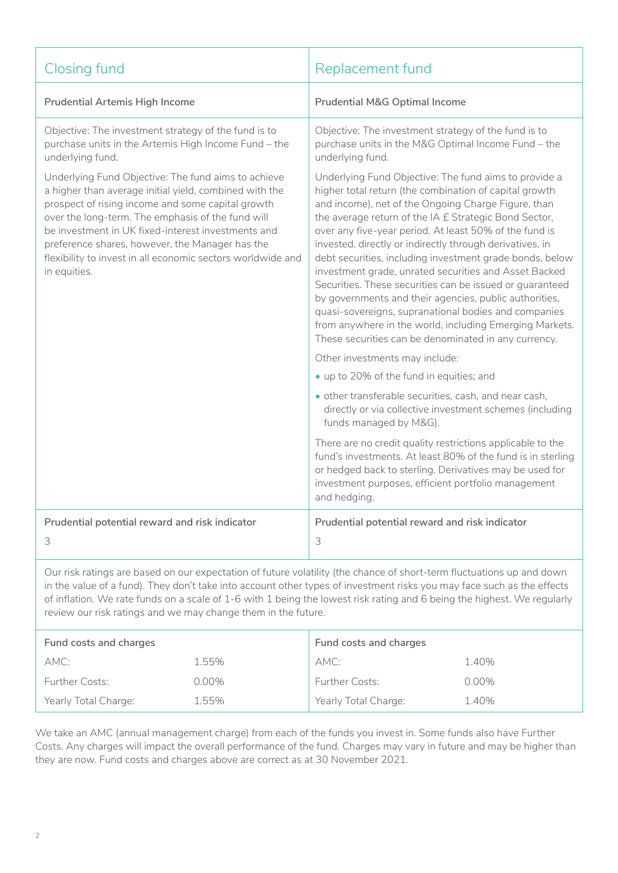| Closing fund                                                                                                                                                                                                                                                                                                                                                                                                                                |       | Replacement fund                                                                                                                                                                                                                                                                                                                                                                                                                                                                                                                                                                                                                                                                                                                                                            |       |
|---------------------------------------------------------------------------------------------------------------------------------------------------------------------------------------------------------------------------------------------------------------------------------------------------------------------------------------------------------------------------------------------------------------------------------------------|-------|-----------------------------------------------------------------------------------------------------------------------------------------------------------------------------------------------------------------------------------------------------------------------------------------------------------------------------------------------------------------------------------------------------------------------------------------------------------------------------------------------------------------------------------------------------------------------------------------------------------------------------------------------------------------------------------------------------------------------------------------------------------------------------|-------|
| <b>Prudential Artemis High Income</b>                                                                                                                                                                                                                                                                                                                                                                                                       |       | <b>Prudential M&amp;G Optimal Income</b>                                                                                                                                                                                                                                                                                                                                                                                                                                                                                                                                                                                                                                                                                                                                    |       |
| Objective: The investment strategy of the fund is to<br>purchase units in the Artemis High Income Fund - the<br>underlying fund.                                                                                                                                                                                                                                                                                                            |       | Objective: The investment strategy of the fund is to<br>purchase units in the M&G Optimal Income Fund - the<br>underlying fund.                                                                                                                                                                                                                                                                                                                                                                                                                                                                                                                                                                                                                                             |       |
| Underlying Fund Objective: The fund aims to achieve<br>a higher than average initial yield, combined with the<br>prospect of rising income and some capital growth<br>over the long-term. The emphasis of the fund will<br>be investment in UK fixed-interest investments and<br>preference shares, however, the Manager has the<br>flexibility to invest in all economic sectors worldwide and<br>in equities.                             |       | Underlying Fund Objective: The fund aims to provide a<br>higher total return (the combination of capital growth<br>and income), net of the Ongoing Charge Figure, than<br>the average return of the IA £ Strategic Bond Sector,<br>over any five-year period. At least 50% of the fund is<br>invested, directly or indirectly through derivatives, in<br>debt securities, including investment grade bonds, below<br>investment grade, unrated securities and Asset Backed<br>Securities. These securities can be issued or guaranteed<br>by governments and their agencies, public authorities,<br>quasi-sovereigns, supranational bodies and companies<br>from anywhere in the world, including Emerging Markets.<br>These securities can be denominated in any currency. |       |
|                                                                                                                                                                                                                                                                                                                                                                                                                                             |       | Other investments may include:                                                                                                                                                                                                                                                                                                                                                                                                                                                                                                                                                                                                                                                                                                                                              |       |
|                                                                                                                                                                                                                                                                                                                                                                                                                                             |       | • up to 20% of the fund in equities; and                                                                                                                                                                                                                                                                                                                                                                                                                                                                                                                                                                                                                                                                                                                                    |       |
|                                                                                                                                                                                                                                                                                                                                                                                                                                             |       | · other transferable securities, cash, and near cash,<br>directly or via collective investment schemes (including<br>funds managed by M&G).                                                                                                                                                                                                                                                                                                                                                                                                                                                                                                                                                                                                                                 |       |
|                                                                                                                                                                                                                                                                                                                                                                                                                                             |       | There are no credit quality restrictions applicable to the<br>fund's investments. At least 80% of the fund is in sterling<br>or hedged back to sterling. Derivatives may be used for<br>investment purposes, efficient portfolio management<br>and hedging.                                                                                                                                                                                                                                                                                                                                                                                                                                                                                                                 |       |
| Prudential potential reward and risk indicator                                                                                                                                                                                                                                                                                                                                                                                              |       | Prudential potential reward and risk indicator                                                                                                                                                                                                                                                                                                                                                                                                                                                                                                                                                                                                                                                                                                                              |       |
| 3                                                                                                                                                                                                                                                                                                                                                                                                                                           |       | 3                                                                                                                                                                                                                                                                                                                                                                                                                                                                                                                                                                                                                                                                                                                                                                           |       |
| Our risk ratings are based on our expectation of future volatility (the chance of short-term fluctuations up and down<br>in the value of a fund). They don't take into account other types of investment risks you may face such as the effects<br>of inflation. We rate funds on a scale of 1-6 with 1 being the lowest risk rating and 6 being the highest. We regularly<br>review our risk ratings and we may change them in the future. |       |                                                                                                                                                                                                                                                                                                                                                                                                                                                                                                                                                                                                                                                                                                                                                                             |       |
| Fund costs and charges                                                                                                                                                                                                                                                                                                                                                                                                                      |       | Fund costs and charges                                                                                                                                                                                                                                                                                                                                                                                                                                                                                                                                                                                                                                                                                                                                                      |       |
| AMC:                                                                                                                                                                                                                                                                                                                                                                                                                                        | 1.55% | AMC:                                                                                                                                                                                                                                                                                                                                                                                                                                                                                                                                                                                                                                                                                                                                                                        | 1.40% |
| Further Costs:                                                                                                                                                                                                                                                                                                                                                                                                                              | 0.00% | Further Costs:                                                                                                                                                                                                                                                                                                                                                                                                                                                                                                                                                                                                                                                                                                                                                              | 0.00% |

Yearly Total Charge: 1.40%

Yearly Total Charge: 1.55%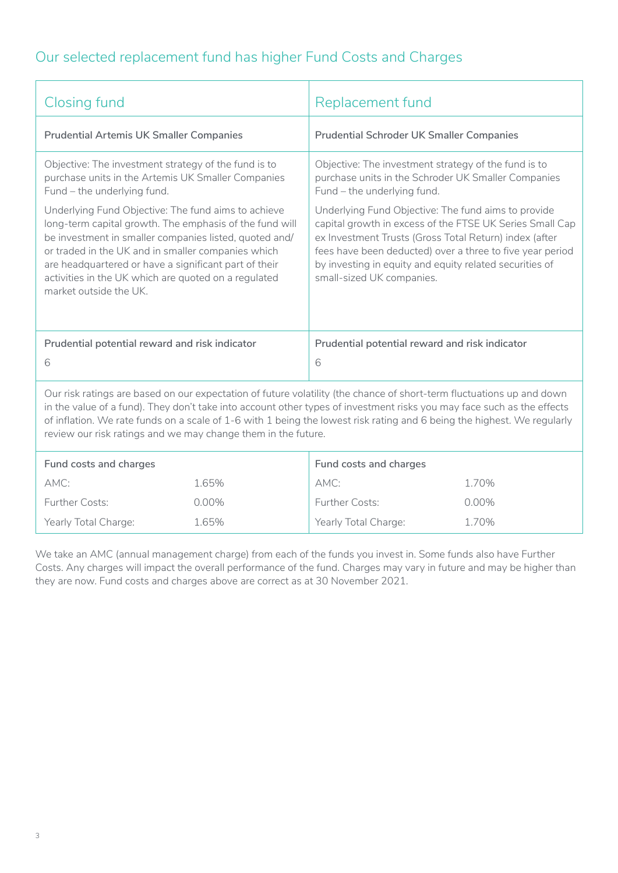### Our selected replacement fund has higher Fund Costs and Charges

| Closing fund                                                                                                                                                                                                                                                                                                                                                                                                                                | Replacement fund                                                                                                                                                                                                                                                                                                               |
|---------------------------------------------------------------------------------------------------------------------------------------------------------------------------------------------------------------------------------------------------------------------------------------------------------------------------------------------------------------------------------------------------------------------------------------------|--------------------------------------------------------------------------------------------------------------------------------------------------------------------------------------------------------------------------------------------------------------------------------------------------------------------------------|
| <b>Prudential Artemis UK Smaller Companies</b>                                                                                                                                                                                                                                                                                                                                                                                              | <b>Prudential Schroder UK Smaller Companies</b>                                                                                                                                                                                                                                                                                |
| Objective: The investment strategy of the fund is to<br>purchase units in the Artemis UK Smaller Companies<br>Fund - the underlying fund.                                                                                                                                                                                                                                                                                                   | Objective: The investment strategy of the fund is to<br>purchase units in the Schroder UK Smaller Companies<br>Fund - the underlying fund.                                                                                                                                                                                     |
| Underlying Fund Objective: The fund aims to achieve<br>long-term capital growth. The emphasis of the fund will<br>be investment in smaller companies listed, quoted and/<br>or traded in the UK and in smaller companies which<br>are headquartered or have a significant part of their<br>activities in the UK which are quoted on a regulated<br>market outside the UK.                                                                   | Underlying Fund Objective: The fund aims to provide<br>capital growth in excess of the FTSE UK Series Small Cap<br>ex Investment Trusts (Gross Total Return) index (after<br>fees have been deducted) over a three to five year period<br>by investing in equity and equity related securities of<br>small-sized UK companies. |
| Prudential potential reward and risk indicator<br>6                                                                                                                                                                                                                                                                                                                                                                                         | Prudential potential reward and risk indicator<br>6                                                                                                                                                                                                                                                                            |
| Our risk ratings are based on our expectation of future volatility (the chance of short-term fluctuations up and down<br>in the value of a fund). They don't take into account other types of investment risks you may face such as the effects<br>of inflation. We rate funds on a scale of 1-6 with 1 being the lowest risk rating and 6 being the highest. We regularly<br>review our risk ratings and we may change them in the future. |                                                                                                                                                                                                                                                                                                                                |

| Fund costs and charges |       | Fund costs and charges |       |
|------------------------|-------|------------------------|-------|
| AMC:                   | L.65% | AMC:                   | 1.70% |
| <b>Further Costs:</b>  | 0.00% | <b>Further Costs:</b>  | 0.00% |
| Yearly Total Charge:   | 65%   | Yearly Total Charge:   | 1.70% |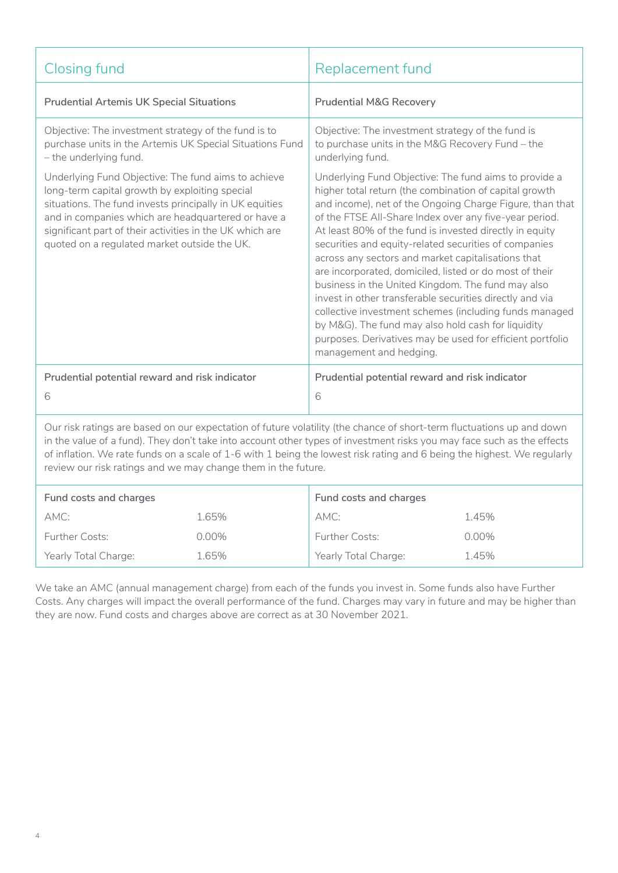| <b>Closing fund</b>                                                                                                                                                                                                                                                                                                                                                                                                                         |       | Replacement fund                                                                                                                                                                                                                                                                                                                                                                                                                                                                                                                                                                                                                                                                                                                                                                                    |       |
|---------------------------------------------------------------------------------------------------------------------------------------------------------------------------------------------------------------------------------------------------------------------------------------------------------------------------------------------------------------------------------------------------------------------------------------------|-------|-----------------------------------------------------------------------------------------------------------------------------------------------------------------------------------------------------------------------------------------------------------------------------------------------------------------------------------------------------------------------------------------------------------------------------------------------------------------------------------------------------------------------------------------------------------------------------------------------------------------------------------------------------------------------------------------------------------------------------------------------------------------------------------------------------|-------|
| <b>Prudential Artemis UK Special Situations</b>                                                                                                                                                                                                                                                                                                                                                                                             |       | <b>Prudential M&amp;G Recovery</b>                                                                                                                                                                                                                                                                                                                                                                                                                                                                                                                                                                                                                                                                                                                                                                  |       |
| Objective: The investment strategy of the fund is to<br>purchase units in the Artemis UK Special Situations Fund<br>- the underlying fund.                                                                                                                                                                                                                                                                                                  |       | Objective: The investment strategy of the fund is<br>to purchase units in the M&G Recovery Fund - the<br>underlying fund.                                                                                                                                                                                                                                                                                                                                                                                                                                                                                                                                                                                                                                                                           |       |
| Underlying Fund Objective: The fund aims to achieve<br>long-term capital growth by exploiting special<br>situations. The fund invests principally in UK equities<br>and in companies which are headquartered or have a<br>significant part of their activities in the UK which are<br>quoted on a regulated market outside the UK.                                                                                                          |       | Underlying Fund Objective: The fund aims to provide a<br>higher total return (the combination of capital growth<br>and income), net of the Ongoing Charge Figure, than that<br>of the FTSE All-Share Index over any five-year period.<br>At least 80% of the fund is invested directly in equity<br>securities and equity-related securities of companies<br>across any sectors and market capitalisations that<br>are incorporated, domiciled, listed or do most of their<br>business in the United Kingdom. The fund may also<br>invest in other transferable securities directly and via<br>collective investment schemes (including funds managed<br>by M&G). The fund may also hold cash for liquidity<br>purposes. Derivatives may be used for efficient portfolio<br>management and hedging. |       |
| Prudential potential reward and risk indicator                                                                                                                                                                                                                                                                                                                                                                                              |       | Prudential potential reward and risk indicator                                                                                                                                                                                                                                                                                                                                                                                                                                                                                                                                                                                                                                                                                                                                                      |       |
| 6                                                                                                                                                                                                                                                                                                                                                                                                                                           |       | 6                                                                                                                                                                                                                                                                                                                                                                                                                                                                                                                                                                                                                                                                                                                                                                                                   |       |
| Our risk ratings are based on our expectation of future volatility (the chance of short-term fluctuations up and down<br>in the value of a fund). They don't take into account other types of investment risks you may face such as the effects<br>of inflation. We rate funds on a scale of 1-6 with 1 being the lowest risk rating and 6 being the highest. We regularly<br>review our risk ratings and we may change them in the future. |       |                                                                                                                                                                                                                                                                                                                                                                                                                                                                                                                                                                                                                                                                                                                                                                                                     |       |
| Fund costs and charges                                                                                                                                                                                                                                                                                                                                                                                                                      |       | Fund costs and charges                                                                                                                                                                                                                                                                                                                                                                                                                                                                                                                                                                                                                                                                                                                                                                              |       |
| AMC:                                                                                                                                                                                                                                                                                                                                                                                                                                        | 1.65% | AMC:                                                                                                                                                                                                                                                                                                                                                                                                                                                                                                                                                                                                                                                                                                                                                                                                | 1.45% |
| <b>Further Costs:</b>                                                                                                                                                                                                                                                                                                                                                                                                                       | 0.00% | <b>Further Costs:</b>                                                                                                                                                                                                                                                                                                                                                                                                                                                                                                                                                                                                                                                                                                                                                                               | 0.00% |

Yearly Total Charge: 1.45%

Yearly Total Charge: 1.65%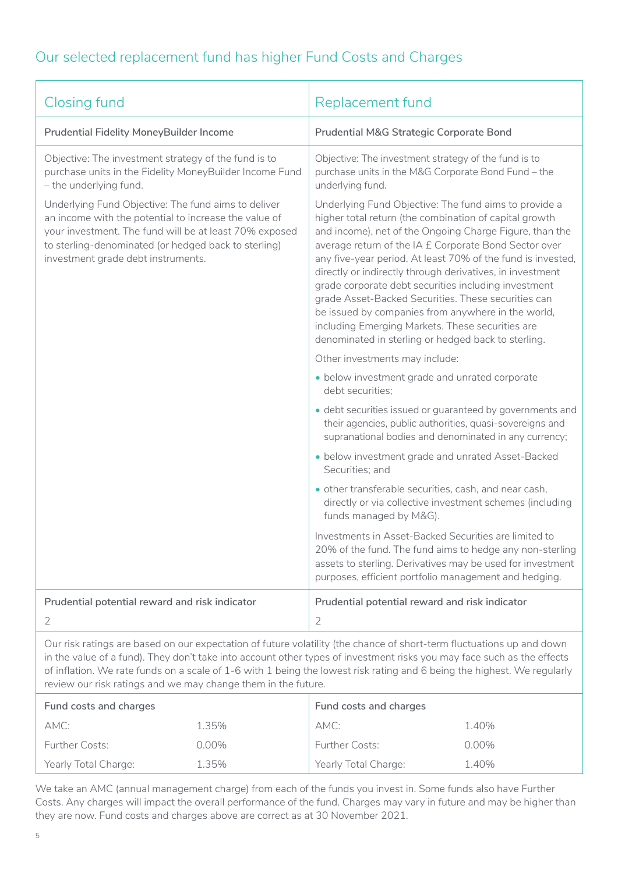| Closing fund                                                                                                                                                                                                                                                         | Replacement fund                                                                                                                                                                                                                                                                                                                                                                                                                                                                                                                                                                                                                                |
|----------------------------------------------------------------------------------------------------------------------------------------------------------------------------------------------------------------------------------------------------------------------|-------------------------------------------------------------------------------------------------------------------------------------------------------------------------------------------------------------------------------------------------------------------------------------------------------------------------------------------------------------------------------------------------------------------------------------------------------------------------------------------------------------------------------------------------------------------------------------------------------------------------------------------------|
| <b>Prudential Fidelity MoneyBuilder Income</b>                                                                                                                                                                                                                       | Prudential M&G Strategic Corporate Bond                                                                                                                                                                                                                                                                                                                                                                                                                                                                                                                                                                                                         |
| Objective: The investment strategy of the fund is to<br>purchase units in the Fidelity MoneyBuilder Income Fund<br>- the underlying fund.                                                                                                                            | Objective: The investment strategy of the fund is to<br>purchase units in the M&G Corporate Bond Fund - the<br>underlying fund.                                                                                                                                                                                                                                                                                                                                                                                                                                                                                                                 |
| Underlying Fund Objective: The fund aims to deliver<br>an income with the potential to increase the value of<br>your investment. The fund will be at least 70% exposed<br>to sterling-denominated (or hedged back to sterling)<br>investment grade debt instruments. | Underlying Fund Objective: The fund aims to provide a<br>higher total return (the combination of capital growth<br>and income), net of the Ongoing Charge Figure, than the<br>average return of the IA £ Corporate Bond Sector over<br>any five-year period. At least 70% of the fund is invested,<br>directly or indirectly through derivatives, in investment<br>grade corporate debt securities including investment<br>grade Asset-Backed Securities. These securities can<br>be issued by companies from anywhere in the world,<br>including Emerging Markets. These securities are<br>denominated in sterling or hedged back to sterling. |
|                                                                                                                                                                                                                                                                      | Other investments may include:                                                                                                                                                                                                                                                                                                                                                                                                                                                                                                                                                                                                                  |
|                                                                                                                                                                                                                                                                      | · below investment grade and unrated corporate<br>debt securities;                                                                                                                                                                                                                                                                                                                                                                                                                                                                                                                                                                              |
|                                                                                                                                                                                                                                                                      | · debt securities issued or guaranteed by governments and<br>their agencies, public authorities, quasi-sovereigns and<br>supranational bodies and denominated in any currency;                                                                                                                                                                                                                                                                                                                                                                                                                                                                  |
|                                                                                                                                                                                                                                                                      | • below investment grade and unrated Asset-Backed<br>Securities; and                                                                                                                                                                                                                                                                                                                                                                                                                                                                                                                                                                            |
|                                                                                                                                                                                                                                                                      | · other transferable securities, cash, and near cash,<br>directly or via collective investment schemes (including<br>funds managed by M&G).                                                                                                                                                                                                                                                                                                                                                                                                                                                                                                     |
|                                                                                                                                                                                                                                                                      | Investments in Asset-Backed Securities are limited to<br>20% of the fund. The fund aims to hedge any non-sterling<br>assets to sterling. Derivatives may be used for investment<br>purposes, efficient portfolio management and hedging.                                                                                                                                                                                                                                                                                                                                                                                                        |
| Prudential potential reward and risk indicator                                                                                                                                                                                                                       | Prudential potential reward and risk indicator                                                                                                                                                                                                                                                                                                                                                                                                                                                                                                                                                                                                  |
| 2                                                                                                                                                                                                                                                                    | 2                                                                                                                                                                                                                                                                                                                                                                                                                                                                                                                                                                                                                                               |

Our risk ratings are based on our expectation of future volatility (the chance of short-term fluctuations up and down in the value of a fund). They don't take into account other types of investment risks you may face such as the effects of inflation. We rate funds on a scale of 1-6 with 1 being the lowest risk rating and 6 being the highest. We regularly review our risk ratings and we may change them in the future.

| Fund costs and charges |       | Fund costs and charges |          |
|------------------------|-------|------------------------|----------|
| AMC:                   | 1.35% | AMC:                   | 1.40%    |
| Further Costs:         | 0.00% | <b>Further Costs:</b>  | $0.00\%$ |
| Yearly Total Charge:   | 1.35% | Yearly Total Charge:   | 1.40%    |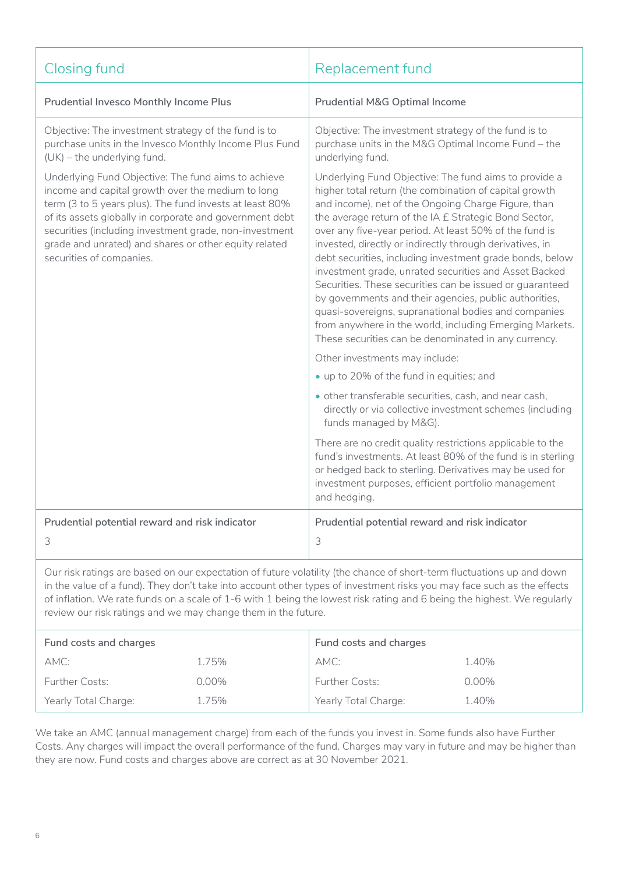| <b>Closing fund</b>                                                                                                                                                                                                                                                                                                                                                                                                                         |       | Replacement fund                                                                                                                                                                                                                                                                                                                                                                                                                                                                                                                                                                                                                                                                                                                                                            |       |
|---------------------------------------------------------------------------------------------------------------------------------------------------------------------------------------------------------------------------------------------------------------------------------------------------------------------------------------------------------------------------------------------------------------------------------------------|-------|-----------------------------------------------------------------------------------------------------------------------------------------------------------------------------------------------------------------------------------------------------------------------------------------------------------------------------------------------------------------------------------------------------------------------------------------------------------------------------------------------------------------------------------------------------------------------------------------------------------------------------------------------------------------------------------------------------------------------------------------------------------------------------|-------|
| <b>Prudential Invesco Monthly Income Plus</b>                                                                                                                                                                                                                                                                                                                                                                                               |       | <b>Prudential M&amp;G Optimal Income</b>                                                                                                                                                                                                                                                                                                                                                                                                                                                                                                                                                                                                                                                                                                                                    |       |
| Objective: The investment strategy of the fund is to<br>purchase units in the Invesco Monthly Income Plus Fund<br>$(UK)$ – the underlying fund.                                                                                                                                                                                                                                                                                             |       | Objective: The investment strategy of the fund is to<br>purchase units in the M&G Optimal Income Fund - the<br>underlying fund.                                                                                                                                                                                                                                                                                                                                                                                                                                                                                                                                                                                                                                             |       |
| Underlying Fund Objective: The fund aims to achieve<br>income and capital growth over the medium to long<br>term (3 to 5 years plus). The fund invests at least 80%<br>of its assets globally in corporate and government debt<br>securities (including investment grade, non-investment<br>grade and unrated) and shares or other equity related<br>securities of companies.                                                               |       | Underlying Fund Objective: The fund aims to provide a<br>higher total return (the combination of capital growth<br>and income), net of the Ongoing Charge Figure, than<br>the average return of the IA £ Strategic Bond Sector,<br>over any five-year period. At least 50% of the fund is<br>invested, directly or indirectly through derivatives, in<br>debt securities, including investment grade bonds, below<br>investment grade, unrated securities and Asset Backed<br>Securities. These securities can be issued or guaranteed<br>by governments and their agencies, public authorities,<br>quasi-sovereigns, supranational bodies and companies<br>from anywhere in the world, including Emerging Markets.<br>These securities can be denominated in any currency. |       |
|                                                                                                                                                                                                                                                                                                                                                                                                                                             |       | Other investments may include:                                                                                                                                                                                                                                                                                                                                                                                                                                                                                                                                                                                                                                                                                                                                              |       |
|                                                                                                                                                                                                                                                                                                                                                                                                                                             |       | • up to 20% of the fund in equities; and                                                                                                                                                                                                                                                                                                                                                                                                                                                                                                                                                                                                                                                                                                                                    |       |
|                                                                                                                                                                                                                                                                                                                                                                                                                                             |       | • other transferable securities, cash, and near cash,<br>directly or via collective investment schemes (including<br>funds managed by M&G).                                                                                                                                                                                                                                                                                                                                                                                                                                                                                                                                                                                                                                 |       |
|                                                                                                                                                                                                                                                                                                                                                                                                                                             |       | There are no credit quality restrictions applicable to the<br>fund's investments. At least 80% of the fund is in sterling<br>or hedged back to sterling. Derivatives may be used for<br>investment purposes, efficient portfolio management<br>and hedging.                                                                                                                                                                                                                                                                                                                                                                                                                                                                                                                 |       |
| Prudential potential reward and risk indicator                                                                                                                                                                                                                                                                                                                                                                                              |       | Prudential potential reward and risk indicator                                                                                                                                                                                                                                                                                                                                                                                                                                                                                                                                                                                                                                                                                                                              |       |
| 3                                                                                                                                                                                                                                                                                                                                                                                                                                           |       | 3                                                                                                                                                                                                                                                                                                                                                                                                                                                                                                                                                                                                                                                                                                                                                                           |       |
| Our risk ratings are based on our expectation of future volatility (the chance of short-term fluctuations up and down<br>in the value of a fund). They don't take into account other types of investment risks you may face such as the effects<br>of inflation. We rate funds on a scale of 1-6 with 1 being the lowest risk rating and 6 being the highest. We regularly<br>review our risk ratings and we may change them in the future. |       |                                                                                                                                                                                                                                                                                                                                                                                                                                                                                                                                                                                                                                                                                                                                                                             |       |
| Fund costs and charges                                                                                                                                                                                                                                                                                                                                                                                                                      |       | Fund costs and charges                                                                                                                                                                                                                                                                                                                                                                                                                                                                                                                                                                                                                                                                                                                                                      |       |
| AMC:                                                                                                                                                                                                                                                                                                                                                                                                                                        | 1.75% | AMC:                                                                                                                                                                                                                                                                                                                                                                                                                                                                                                                                                                                                                                                                                                                                                                        | 1.40% |
| Further Costs:                                                                                                                                                                                                                                                                                                                                                                                                                              | 0.00% | Further Costs:                                                                                                                                                                                                                                                                                                                                                                                                                                                                                                                                                                                                                                                                                                                                                              | 0.00% |

Yearly Total Charge: 1.40%

Yearly Total Charge: 1.75%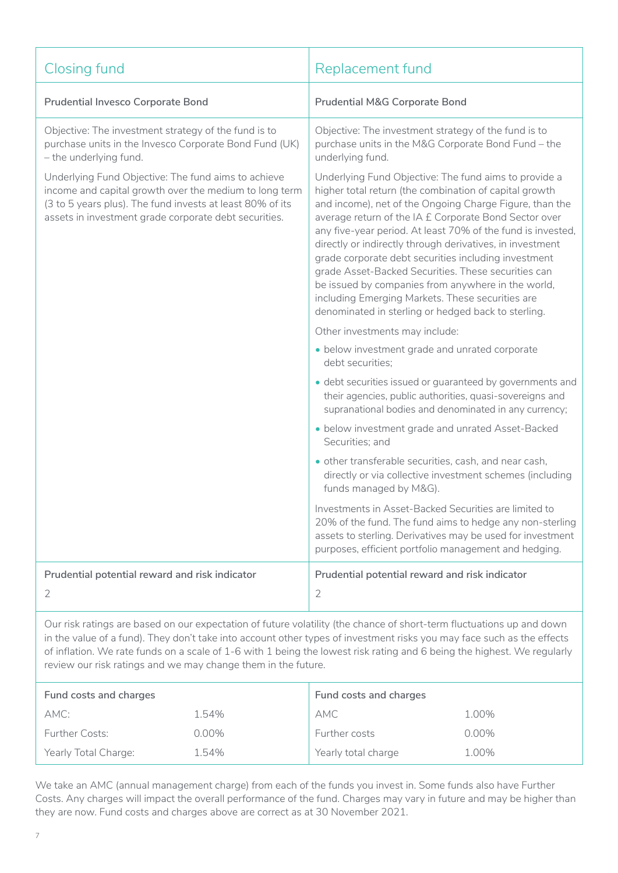| Closing fund                                                                                                                                                                                                                        | Replacement fund                                                                                                                                                                                                                                                                                                                                                                                                                                                                                                                                                                                                                                |
|-------------------------------------------------------------------------------------------------------------------------------------------------------------------------------------------------------------------------------------|-------------------------------------------------------------------------------------------------------------------------------------------------------------------------------------------------------------------------------------------------------------------------------------------------------------------------------------------------------------------------------------------------------------------------------------------------------------------------------------------------------------------------------------------------------------------------------------------------------------------------------------------------|
| <b>Prudential Invesco Corporate Bond</b>                                                                                                                                                                                            | <b>Prudential M&amp;G Corporate Bond</b>                                                                                                                                                                                                                                                                                                                                                                                                                                                                                                                                                                                                        |
| Objective: The investment strategy of the fund is to<br>purchase units in the Invesco Corporate Bond Fund (UK)<br>- the underlying fund.                                                                                            | Objective: The investment strategy of the fund is to<br>purchase units in the M&G Corporate Bond Fund - the<br>underlying fund.                                                                                                                                                                                                                                                                                                                                                                                                                                                                                                                 |
| Underlying Fund Objective: The fund aims to achieve<br>income and capital growth over the medium to long term<br>(3 to 5 years plus). The fund invests at least 80% of its<br>assets in investment grade corporate debt securities. | Underlying Fund Objective: The fund aims to provide a<br>higher total return (the combination of capital growth<br>and income), net of the Ongoing Charge Figure, than the<br>average return of the IA £ Corporate Bond Sector over<br>any five-year period. At least 70% of the fund is invested,<br>directly or indirectly through derivatives, in investment<br>grade corporate debt securities including investment<br>grade Asset-Backed Securities. These securities can<br>be issued by companies from anywhere in the world,<br>including Emerging Markets. These securities are<br>denominated in sterling or hedged back to sterling. |
|                                                                                                                                                                                                                                     | Other investments may include:                                                                                                                                                                                                                                                                                                                                                                                                                                                                                                                                                                                                                  |
|                                                                                                                                                                                                                                     | • below investment grade and unrated corporate<br>debt securities;                                                                                                                                                                                                                                                                                                                                                                                                                                                                                                                                                                              |
|                                                                                                                                                                                                                                     | · debt securities issued or guaranteed by governments and<br>their agencies, public authorities, quasi-sovereigns and<br>supranational bodies and denominated in any currency;                                                                                                                                                                                                                                                                                                                                                                                                                                                                  |
|                                                                                                                                                                                                                                     | • below investment grade and unrated Asset-Backed<br>Securities; and                                                                                                                                                                                                                                                                                                                                                                                                                                                                                                                                                                            |
|                                                                                                                                                                                                                                     | • other transferable securities, cash, and near cash,<br>directly or via collective investment schemes (including<br>funds managed by M&G).                                                                                                                                                                                                                                                                                                                                                                                                                                                                                                     |
|                                                                                                                                                                                                                                     | Investments in Asset-Backed Securities are limited to<br>20% of the fund. The fund aims to hedge any non-sterling<br>assets to sterling. Derivatives may be used for investment<br>purposes, efficient portfolio management and hedging.                                                                                                                                                                                                                                                                                                                                                                                                        |
| Prudential potential reward and risk indicator                                                                                                                                                                                      | Prudential potential reward and risk indicator                                                                                                                                                                                                                                                                                                                                                                                                                                                                                                                                                                                                  |
| $\overline{2}$                                                                                                                                                                                                                      | $\overline{2}$                                                                                                                                                                                                                                                                                                                                                                                                                                                                                                                                                                                                                                  |
|                                                                                                                                                                                                                                     |                                                                                                                                                                                                                                                                                                                                                                                                                                                                                                                                                                                                                                                 |

Our risk ratings are based on our expectation of future volatility (the chance of short-term fluctuations up and down in the value of a fund). They don't take into account other types of investment risks you may face such as the effects of inflation. We rate funds on a scale of 1-6 with 1 being the lowest risk rating and 6 being the highest. We regularly review our risk ratings and we may change them in the future.

| Fund costs and charges |          | Fund costs and charges |          |
|------------------------|----------|------------------------|----------|
| AMC:                   | 1.54%    | AMC                    | 1.00%    |
| <b>Further Costs:</b>  | $0.00\%$ | Further costs          | $0.00\%$ |
| Yearly Total Charge:   | 1.54%    | Yearly total charge    | 1.00%    |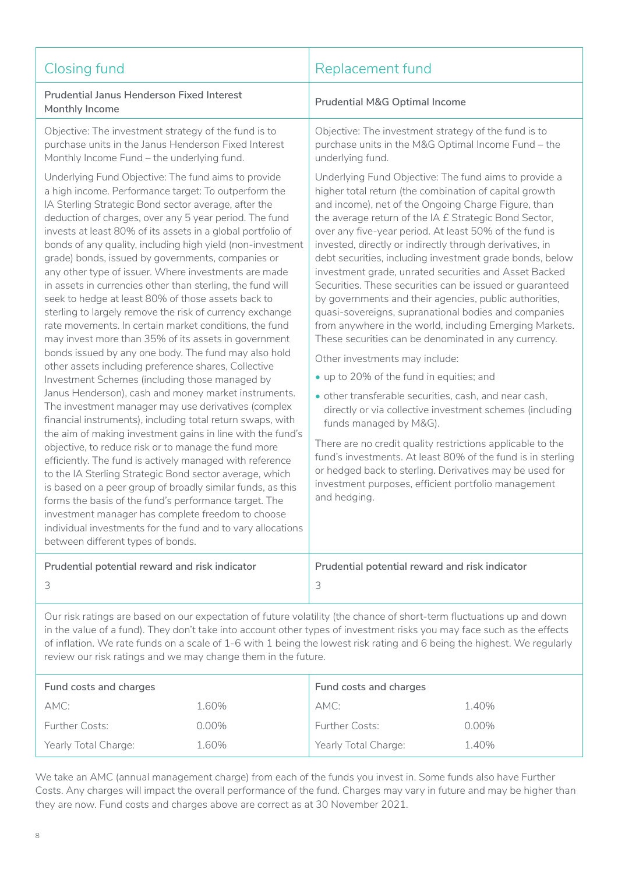| <b>Closing fund</b>                                                                                                                                                                                                                                                                                                                                                                                                                                                                                                                                                                                                                                                                                                                                                                                                                                                                                                                                                                                                                                                                                                                                                                                                                                                                                                                                                                                                                                                                                                                                                                                                                                   | Replacement fund                                                                                                                                                                                                                                                                                                                                                                                                                                                                                                                                                                                                                                                                                                                                                                                                                                                                                                                                                                                                                                                                                                                                                                                                                                                        |
|-------------------------------------------------------------------------------------------------------------------------------------------------------------------------------------------------------------------------------------------------------------------------------------------------------------------------------------------------------------------------------------------------------------------------------------------------------------------------------------------------------------------------------------------------------------------------------------------------------------------------------------------------------------------------------------------------------------------------------------------------------------------------------------------------------------------------------------------------------------------------------------------------------------------------------------------------------------------------------------------------------------------------------------------------------------------------------------------------------------------------------------------------------------------------------------------------------------------------------------------------------------------------------------------------------------------------------------------------------------------------------------------------------------------------------------------------------------------------------------------------------------------------------------------------------------------------------------------------------------------------------------------------------|-------------------------------------------------------------------------------------------------------------------------------------------------------------------------------------------------------------------------------------------------------------------------------------------------------------------------------------------------------------------------------------------------------------------------------------------------------------------------------------------------------------------------------------------------------------------------------------------------------------------------------------------------------------------------------------------------------------------------------------------------------------------------------------------------------------------------------------------------------------------------------------------------------------------------------------------------------------------------------------------------------------------------------------------------------------------------------------------------------------------------------------------------------------------------------------------------------------------------------------------------------------------------|
| <b>Prudential Janus Henderson Fixed Interest</b><br>Monthly Income                                                                                                                                                                                                                                                                                                                                                                                                                                                                                                                                                                                                                                                                                                                                                                                                                                                                                                                                                                                                                                                                                                                                                                                                                                                                                                                                                                                                                                                                                                                                                                                    | <b>Prudential M&amp;G Optimal Income</b>                                                                                                                                                                                                                                                                                                                                                                                                                                                                                                                                                                                                                                                                                                                                                                                                                                                                                                                                                                                                                                                                                                                                                                                                                                |
| Objective: The investment strategy of the fund is to<br>purchase units in the Janus Henderson Fixed Interest<br>Monthly Income Fund - the underlying fund.                                                                                                                                                                                                                                                                                                                                                                                                                                                                                                                                                                                                                                                                                                                                                                                                                                                                                                                                                                                                                                                                                                                                                                                                                                                                                                                                                                                                                                                                                            | Objective: The investment strategy of the fund is to<br>purchase units in the M&G Optimal Income Fund - the<br>underlying fund.                                                                                                                                                                                                                                                                                                                                                                                                                                                                                                                                                                                                                                                                                                                                                                                                                                                                                                                                                                                                                                                                                                                                         |
| Underlying Fund Objective: The fund aims to provide<br>a high income. Performance target: To outperform the<br>IA Sterling Strategic Bond sector average, after the<br>deduction of charges, over any 5 year period. The fund<br>invests at least 80% of its assets in a global portfolio of<br>bonds of any quality, including high yield (non-investment<br>grade) bonds, issued by governments, companies or<br>any other type of issuer. Where investments are made<br>in assets in currencies other than sterling, the fund will<br>seek to hedge at least 80% of those assets back to<br>sterling to largely remove the risk of currency exchange<br>rate movements. In certain market conditions, the fund<br>may invest more than 35% of its assets in government<br>bonds issued by any one body. The fund may also hold<br>other assets including preference shares, Collective<br>Investment Schemes (including those managed by<br>Janus Henderson), cash and money market instruments.<br>The investment manager may use derivatives (complex<br>financial instruments), including total return swaps, with<br>the aim of making investment gains in line with the fund's<br>objective, to reduce risk or to manage the fund more<br>efficiently. The fund is actively managed with reference<br>to the IA Sterling Strategic Bond sector average, which<br>is based on a peer group of broadly similar funds, as this<br>forms the basis of the fund's performance target. The<br>investment manager has complete freedom to choose<br>individual investments for the fund and to vary allocations<br>between different types of bonds. | Underlying Fund Objective: The fund aims to provide a<br>higher total return (the combination of capital growth<br>and income), net of the Ongoing Charge Figure, than<br>the average return of the IA £ Strategic Bond Sector,<br>over any five-year period. At least 50% of the fund is<br>invested, directly or indirectly through derivatives, in<br>debt securities, including investment grade bonds, below<br>investment grade, unrated securities and Asset Backed<br>Securities. These securities can be issued or guaranteed<br>by governments and their agencies, public authorities,<br>quasi-sovereigns, supranational bodies and companies<br>from anywhere in the world, including Emerging Markets.<br>These securities can be denominated in any currency.<br>Other investments may include:<br>• up to 20% of the fund in equities; and<br>· other transferable securities, cash, and near cash,<br>directly or via collective investment schemes (including<br>funds managed by M&G).<br>There are no credit quality restrictions applicable to the<br>fund's investments. At least 80% of the fund is in sterling<br>or hedged back to sterling. Derivatives may be used for<br>investment purposes, efficient portfolio management<br>and hedging. |
| Prudential potential reward and risk indicator                                                                                                                                                                                                                                                                                                                                                                                                                                                                                                                                                                                                                                                                                                                                                                                                                                                                                                                                                                                                                                                                                                                                                                                                                                                                                                                                                                                                                                                                                                                                                                                                        | Prudential potential reward and risk indicator<br>3                                                                                                                                                                                                                                                                                                                                                                                                                                                                                                                                                                                                                                                                                                                                                                                                                                                                                                                                                                                                                                                                                                                                                                                                                     |
| 3                                                                                                                                                                                                                                                                                                                                                                                                                                                                                                                                                                                                                                                                                                                                                                                                                                                                                                                                                                                                                                                                                                                                                                                                                                                                                                                                                                                                                                                                                                                                                                                                                                                     |                                                                                                                                                                                                                                                                                                                                                                                                                                                                                                                                                                                                                                                                                                                                                                                                                                                                                                                                                                                                                                                                                                                                                                                                                                                                         |

Our risk ratings are based on our expectation of future volatility (the chance of short-term fluctuations up and down in the value of a fund). They don't take into account other types of investment risks you may face such as the effects of inflation. We rate funds on a scale of 1-6 with 1 being the lowest risk rating and 6 being the highest. We regularly review our risk ratings and we may change them in the future.

| Fund costs and charges |          | Fund costs and charges |       |
|------------------------|----------|------------------------|-------|
| AMC:                   | 1.60%    | AMC:                   | 1.40% |
| <b>Further Costs:</b>  | $0.00\%$ | <b>Further Costs:</b>  | 0.00% |
| Yearly Total Charge:   | 1.60%    | Yearly Total Charge:   | 1.40% |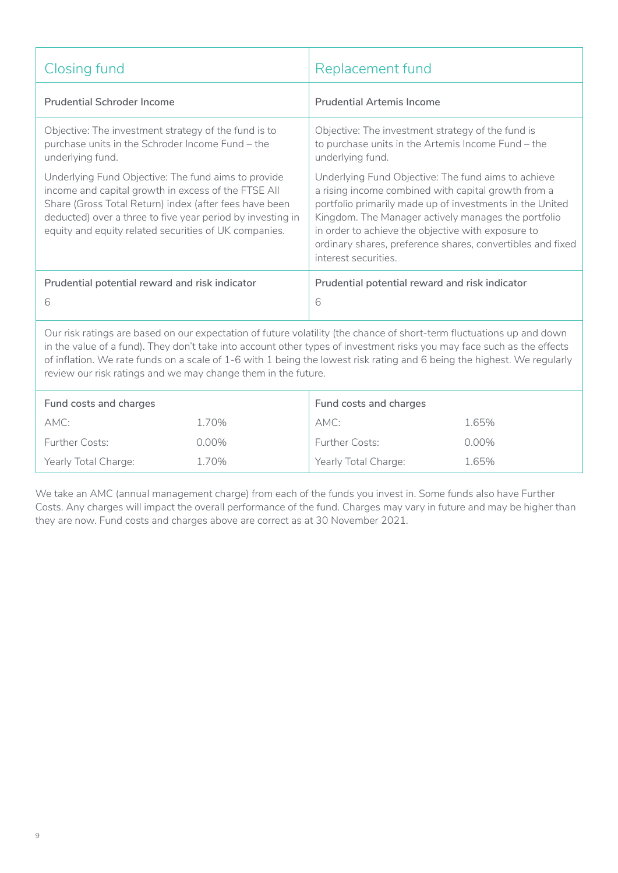| <b>Closing fund</b>                                                                                                                                                                                                                                                                                                                                                                                                                         | Replacement fund                                                                                                                                                                                                                                                                                                                                                          |  |
|---------------------------------------------------------------------------------------------------------------------------------------------------------------------------------------------------------------------------------------------------------------------------------------------------------------------------------------------------------------------------------------------------------------------------------------------|---------------------------------------------------------------------------------------------------------------------------------------------------------------------------------------------------------------------------------------------------------------------------------------------------------------------------------------------------------------------------|--|
| <b>Prudential Schroder Income</b>                                                                                                                                                                                                                                                                                                                                                                                                           | <b>Prudential Artemis Income</b>                                                                                                                                                                                                                                                                                                                                          |  |
| Objective: The investment strategy of the fund is to<br>purchase units in the Schroder Income Fund - the<br>underlying fund.                                                                                                                                                                                                                                                                                                                | Objective: The investment strategy of the fund is<br>to purchase units in the Artemis Income Fund - the<br>underlying fund.                                                                                                                                                                                                                                               |  |
| Underlying Fund Objective: The fund aims to provide<br>income and capital growth in excess of the FTSE All<br>Share (Gross Total Return) index (after fees have been<br>deducted) over a three to five year period by investing in<br>equity and equity related securities of UK companies.                                                                                                                                                 | Underlying Fund Objective: The fund aims to achieve<br>a rising income combined with capital growth from a<br>portfolio primarily made up of investments in the United<br>Kingdom. The Manager actively manages the portfolio<br>in order to achieve the objective with exposure to<br>ordinary shares, preference shares, convertibles and fixed<br>interest securities. |  |
| Prudential potential reward and risk indicator                                                                                                                                                                                                                                                                                                                                                                                              | Prudential potential reward and risk indicator                                                                                                                                                                                                                                                                                                                            |  |
| 6                                                                                                                                                                                                                                                                                                                                                                                                                                           | 6                                                                                                                                                                                                                                                                                                                                                                         |  |
| Our risk ratings are based on our expectation of future volatility (the chance of short-term fluctuations up and down<br>in the value of a fund). They don't take into account other types of investment risks you may face such as the effects<br>of inflation. We rate funds on a scale of 1-6 with 1 being the lowest risk rating and 6 being the highest. We regularly<br>review our risk ratings and we may change them in the future. |                                                                                                                                                                                                                                                                                                                                                                           |  |

| Fund costs and charges |          | Fund costs and charges |          |
|------------------------|----------|------------------------|----------|
| AMC:                   | 1.70%    | AMC:                   | 1.65%    |
| <b>Further Costs:</b>  | $0.00\%$ | <b>Further Costs:</b>  | $0.00\%$ |
| Yearly Total Charge:   | 1.70%    | Yearly Total Charge:   | 1.65%    |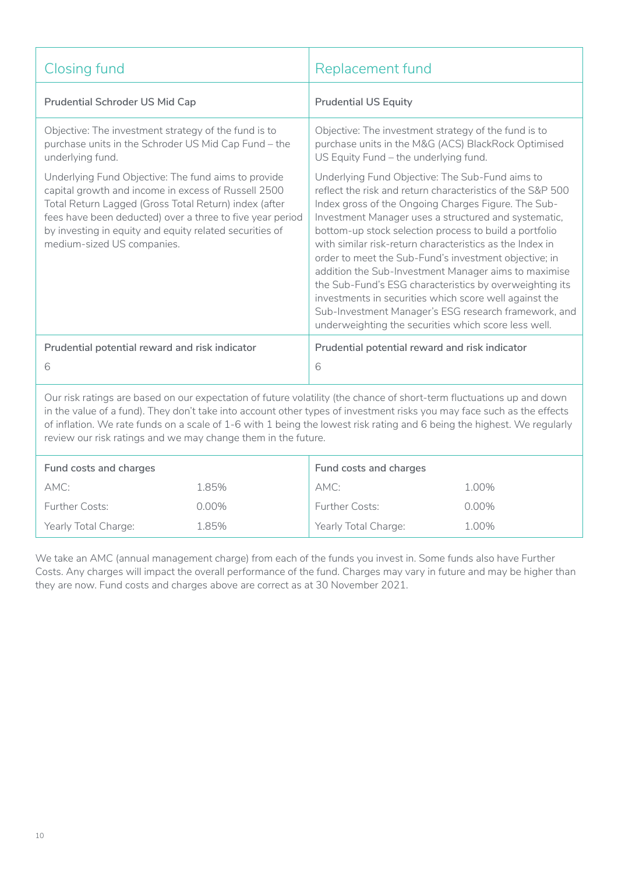| Closing fund                                                                                                                                                                                                                                                                                                              | Replacement fund                                                                                                                                                                                                                                                                                                                                                                                                                                                                                                                                                                                                                                                                                         |  |
|---------------------------------------------------------------------------------------------------------------------------------------------------------------------------------------------------------------------------------------------------------------------------------------------------------------------------|----------------------------------------------------------------------------------------------------------------------------------------------------------------------------------------------------------------------------------------------------------------------------------------------------------------------------------------------------------------------------------------------------------------------------------------------------------------------------------------------------------------------------------------------------------------------------------------------------------------------------------------------------------------------------------------------------------|--|
| <b>Prudential Schroder US Mid Cap</b>                                                                                                                                                                                                                                                                                     | <b>Prudential US Equity</b>                                                                                                                                                                                                                                                                                                                                                                                                                                                                                                                                                                                                                                                                              |  |
| Objective: The investment strategy of the fund is to<br>purchase units in the Schroder US Mid Cap Fund - the<br>underlying fund.                                                                                                                                                                                          | Objective: The investment strategy of the fund is to<br>purchase units in the M&G (ACS) BlackRock Optimised<br>US Equity Fund - the underlying fund.                                                                                                                                                                                                                                                                                                                                                                                                                                                                                                                                                     |  |
| Underlying Fund Objective: The fund aims to provide<br>capital growth and income in excess of Russell 2500<br>Total Return Lagged (Gross Total Return) index (after<br>fees have been deducted) over a three to five year period<br>by investing in equity and equity related securities of<br>medium-sized US companies. | Underlying Fund Objective: The Sub-Fund aims to<br>reflect the risk and return characteristics of the S&P 500<br>Index gross of the Ongoing Charges Figure. The Sub-<br>Investment Manager uses a structured and systematic,<br>bottom-up stock selection process to build a portfolio<br>with similar risk-return characteristics as the Index in<br>order to meet the Sub-Fund's investment objective; in<br>addition the Sub-Investment Manager aims to maximise<br>the Sub-Fund's ESG characteristics by overweighting its<br>investments in securities which score well against the<br>Sub-Investment Manager's ESG research framework, and<br>underweighting the securities which score less well. |  |
| Prudential potential reward and risk indicator<br>6                                                                                                                                                                                                                                                                       | Prudential potential reward and risk indicator<br>6                                                                                                                                                                                                                                                                                                                                                                                                                                                                                                                                                                                                                                                      |  |
| Our risk ratings are based on our expectation of future volatility (the chance of short-term fluctuations up and down                                                                                                                                                                                                     |                                                                                                                                                                                                                                                                                                                                                                                                                                                                                                                                                                                                                                                                                                          |  |

in the value of a fund). They don't take into account other types of investment risks you may face such as the effects of inflation. We rate funds on a scale of 1-6 with 1 being the lowest risk rating and 6 being the highest. We regularly

**Fund costs and charges**

AMC: 1.00% Further Costs: 0.00%

Yearly Total Charge: 1.00%

review our risk ratings and we may change them in the future.

**Fund costs and charges**

AMC: 1.85% Further Costs: 0.00%

Yearly Total Charge: 1.85%